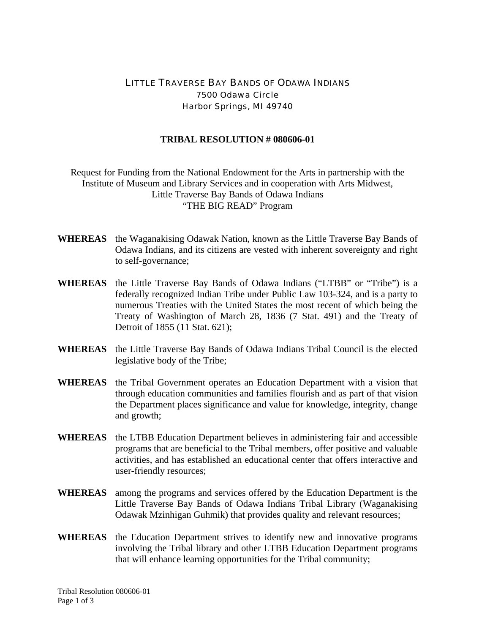## LITTLE TRAVERSE BAY BANDS OF ODAWA INDIANS 7500 Odawa Circle Harbor Springs, MI 49740

## **TRIBAL RESOLUTION # 080606-01**

Request for Funding from the National Endowment for the Arts in partnership with the Institute of Museum and Library Services and in cooperation with Arts Midwest, Little Traverse Bay Bands of Odawa Indians "THE BIG READ" Program

- **WHEREAS** the Waganakising Odawak Nation, known as the Little Traverse Bay Bands of Odawa Indians, and its citizens are vested with inherent sovereignty and right to self-governance;
- **WHEREAS** the Little Traverse Bay Bands of Odawa Indians ("LTBB" or "Tribe") is a federally recognized Indian Tribe under Public Law 103-324, and is a party to numerous Treaties with the United States the most recent of which being the Treaty of Washington of March 28, 1836 (7 Stat. 491) and the Treaty of Detroit of 1855 (11 Stat. 621);
- **WHEREAS** the Little Traverse Bay Bands of Odawa Indians Tribal Council is the elected legislative body of the Tribe;
- **WHEREAS** the Tribal Government operates an Education Department with a vision that through education communities and families flourish and as part of that vision the Department places significance and value for knowledge, integrity, change and growth;
- **WHEREAS** the LTBB Education Department believes in administering fair and accessible programs that are beneficial to the Tribal members, offer positive and valuable activities, and has established an educational center that offers interactive and user-friendly resources;
- **WHEREAS** among the programs and services offered by the Education Department is the Little Traverse Bay Bands of Odawa Indians Tribal Library (Waganakising Odawak Mzinhigan Guhmik) that provides quality and relevant resources;
- **WHEREAS** the Education Department strives to identify new and innovative programs involving the Tribal library and other LTBB Education Department programs that will enhance learning opportunities for the Tribal community;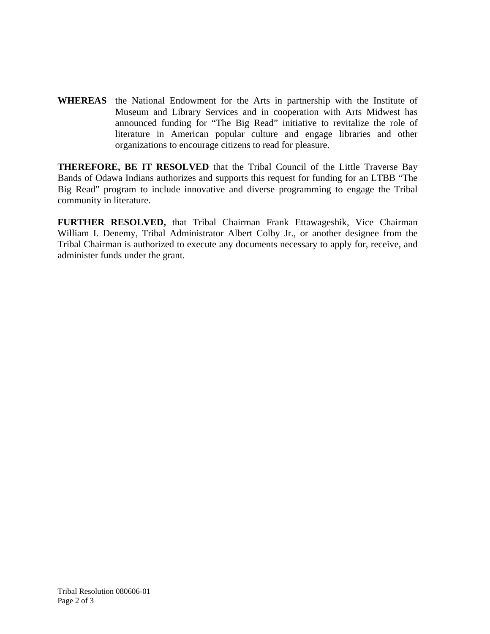**WHEREAS** the National Endowment for the Arts in partnership with the Institute of Museum and Library Services and in cooperation with Arts Midwest has announced funding for "The Big Read" initiative to revitalize the role of literature in American popular culture and engage libraries and other organizations to encourage citizens to read for pleasure.

**THEREFORE, BE IT RESOLVED** that the Tribal Council of the Little Traverse Bay Bands of Odawa Indians authorizes and supports this request for funding for an LTBB "The Big Read" program to include innovative and diverse programming to engage the Tribal community in literature.

**FURTHER RESOLVED,** that Tribal Chairman Frank Ettawageshik, Vice Chairman William I. Denemy, Tribal Administrator Albert Colby Jr., or another designee from the Tribal Chairman is authorized to execute any documents necessary to apply for, receive, and administer funds under the grant.